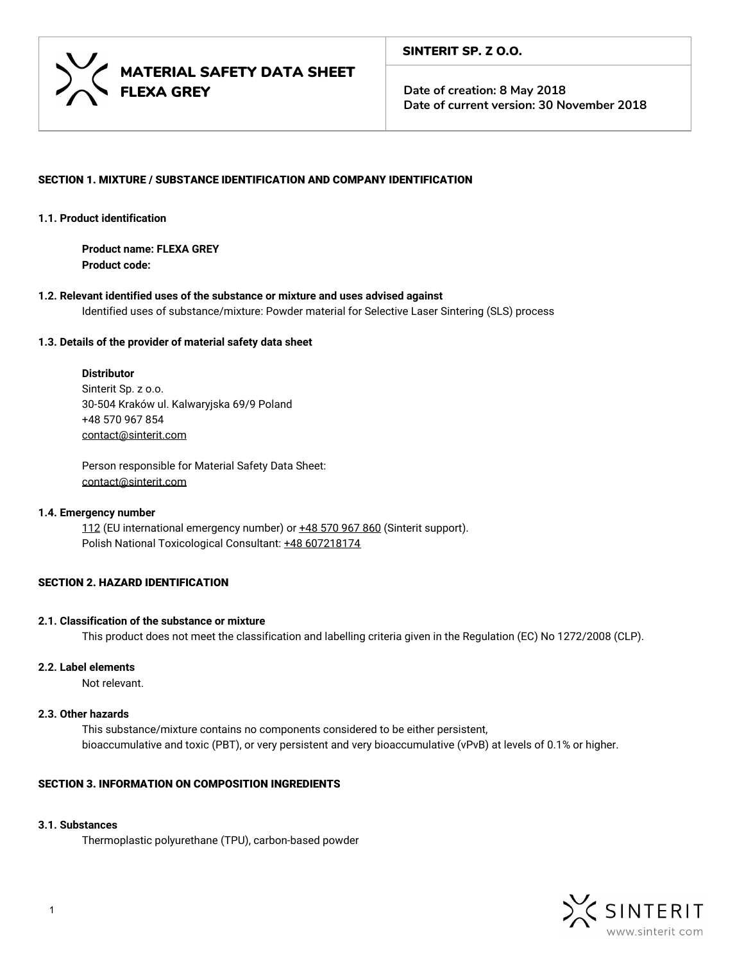

# SECTION 1. MIXTURE / SUBSTANCE IDENTIFICATION AND COMPANY IDENTIFICATION

#### **1.1. Product identification**

**Product name: FLEXA GREY Product code:**

**1.2. Relevant identified uses of the substance or mixture and uses advised against** Identified uses of substance/mixture: Powder material for Selective Laser Sintering (SLS) process

## **1.3. Details of the provider of material safety data sheet**

## **Distributor**

Sinterit Sp. z o.o. 30-504 Kraków ul. Kalwaryjska 69/9 Poland +48 570 967 854 [contact@sinterit.com](mailto:contact@sinterit.com)

Person responsible for Material Safety Data Sheet: [contact@sinterit.com](mailto:contact@sinterit.com)

#### **1.4. Emergency number**

112 (EU international emergency number) or  $\pm 48$  570 967 860 (Sinterit support). Polish National Toxicological Consultant: +48 607218174

# SECTION 2. HAZARD IDENTIFICATION

#### **2.1. Classification of the substance or mixture**

This product does not meet the classification and labelling criteria given in the Regulation (EC) No 1272/2008 (CLP).

# **2.2. Label elements**

Not relevant.

# **2.3. Other hazards**

This substance/mixture contains no components considered to be either persistent, bioaccumulative and toxic (PBT), or very persistent and very bioaccumulative (vPvB) at levels of 0.1% or higher.

# SECTION 3. INFORMATION ON COMPOSITION INGREDIENTS

## **3.1. Substances**

Thermoplastic polyurethane (TPU), carbon-based powder

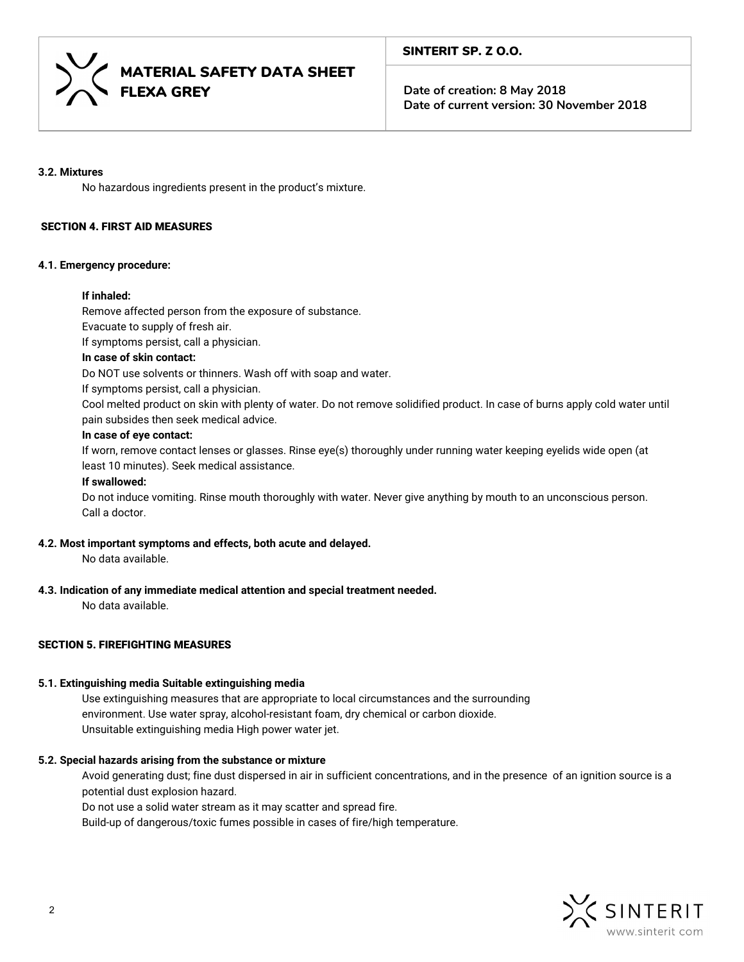

## **3.2. Mixtures**

No hazardous ingredients present in the product's mixture.

# SECTION 4. FIRST AID MEASURES

# **4.1. Emergency procedure:**

# **If inhaled:**

Remove affected person from the exposure of substance.

Evacuate to supply of fresh air.

If symptoms persist, call a physician.

# **In case of skin contact:**

Do NOT use solvents or thinners. Wash off with soap and water.

If symptoms persist, call a physician.

Cool melted product on skin with plenty of water. Do not remove solidified product. In case of burns apply cold water until pain subsides then seek medical advice.

# **In case of eye contact:**

If worn, remove contact lenses or glasses. Rinse eye(s) thoroughly under running water keeping eyelids wide open (at least 10 minutes). Seek medical assistance.

## **If swallowed:**

Do not induce vomiting. Rinse mouth thoroughly with water. Never give anything by mouth to an unconscious person. Call a doctor.

#### **4.2. Most important symptoms and effects, both acute and delayed.**

No data available.

# **4.3. Indication of any immediate medical attention and special treatment needed.**

No data available.

# SECTION 5. FIREFIGHTING MEASURES

# **5.1. Extinguishing media Suitable extinguishing media**

Use extinguishing measures that are appropriate to local circumstances and the surrounding environment. Use water spray, alcohol-resistant foam, dry chemical or carbon dioxide. Unsuitable extinguishing mediaHigh power water jet.

# **5.2. Special hazards arising from the substance or mixture**

Avoid generating dust; fine dust dispersed in air in sufficient concentrations, and in the presence of an ignition source is a potential dust explosion hazard.

Do not use a solid water stream as it may scatter and spread fire.

Build-up of dangerous/toxic fumes possible in cases of fire/high temperature.

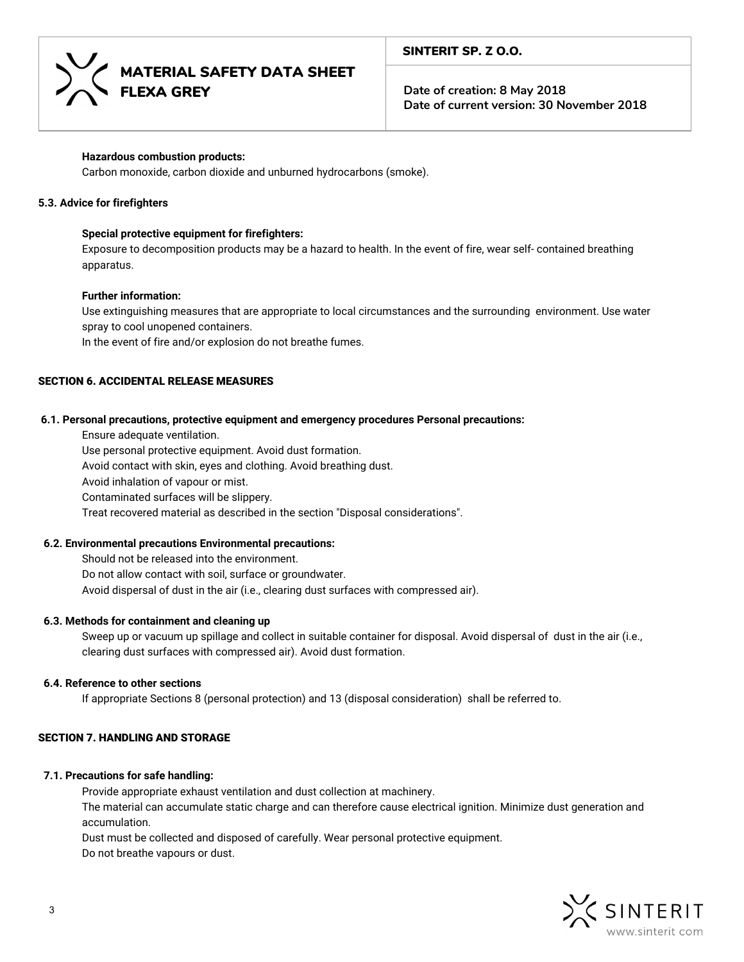



# **Hazardous combustion products:**

Carbon monoxide, carbon dioxide and unburned hydrocarbons (smoke).

## **5.3. Advice for firefighters**

## **Special protective equipment for firefighters:**

Exposure to decomposition products may be a hazard to health. In the event of fire, wear self- contained breathing apparatus.

#### **Further information:**

Use extinguishing measures that are appropriate to local circumstances and the surrounding environment. Use water spray to cool unopened containers.

In the event of fire and/or explosion do not breathe fumes.

# SECTION 6. ACCIDENTAL RELEASE MEASURES

#### **6.1. Personal precautions, protective equipment and emergency procedures Personal precautions:**

Ensure adequate ventilation.

Use personal protective equipment. Avoid dust formation.

Avoid contact with skin, eyes and clothing. Avoid breathing dust.

Avoid inhalation of vapour or mist.

Contaminated surfaces will be slippery.

Treat recovered material as described in the section "Disposal considerations".

#### **6.2. Environmental precautions Environmental precautions:**

Should not be released into the environment. Do not allow contact with soil, surface or groundwater. Avoid dispersal of dust in the air (i.e., clearing dust surfaces with compressed air).

#### **6.3. Methods for containment and cleaning up**

Sweep up or vacuum up spillage and collect in suitable container for disposal. Avoid dispersal of dust in the air (i.e., clearing dust surfaces with compressed air). Avoid dust formation.

#### **6.4. Reference to other sections**

If appropriate Sections 8 (personal protection) and 13 (disposal consideration) shall be referred to.

# SECTION 7. HANDLING AND STORAGE

#### **7.1. Precautions for safe handling:**

Provide appropriate exhaust ventilation and dust collection at machinery.

The material can accumulate static charge and can therefore cause electrical ignition. Minimize dust generation and accumulation.

Dust must be collected and disposed of carefully. Wear personal protective equipment. Do not breathe vapours or dust.

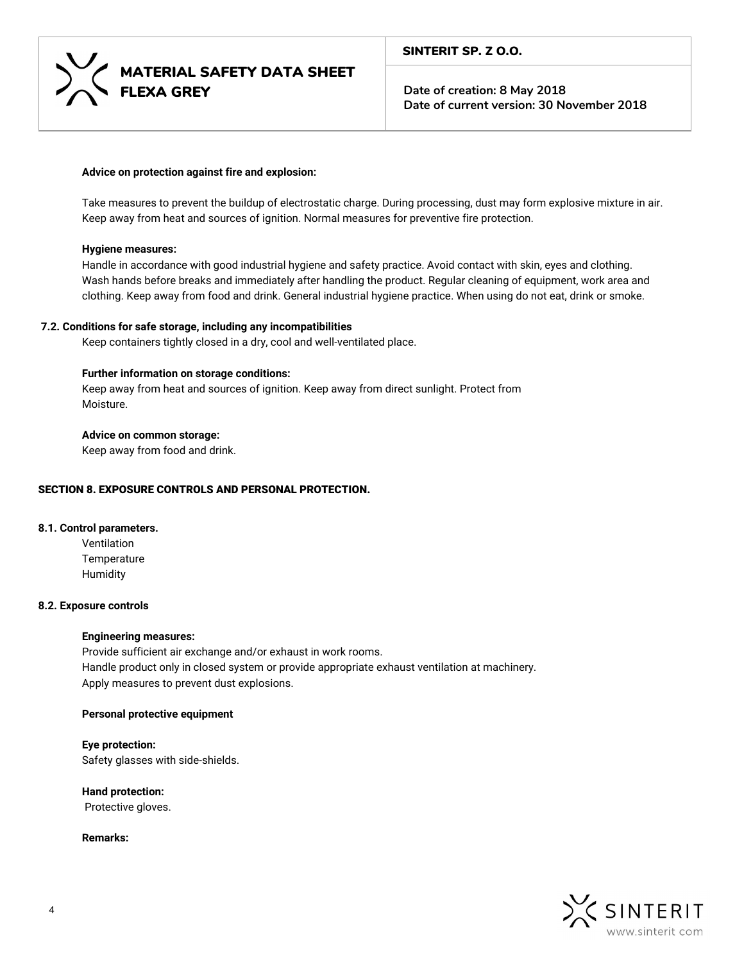

#### **Advice on protection against fire and explosion:**

Take measures to prevent the buildup of electrostatic charge. During processing, dust may form explosive mixture in air. Keep away from heat and sources of ignition. Normal measures for preventive fire protection.

#### **Hygiene measures:**

Handle in accordance with good industrial hygiene and safety practice. Avoid contact with skin, eyes and clothing. Wash hands before breaks and immediately after handling the product. Regular cleaning of equipment, work area and clothing. Keep away from food and drink. General industrial hygiene practice. When using do not eat, drink or smoke.

#### **7.2. Conditions for safe storage, including any incompatibilities**

Keep containers tightly closed in a dry, cool and well-ventilated place.

## **Further information on storage conditions:**

Keep away from heat and sources of ignition. Keep away from direct sunlight. Protect from Moisture.

#### **Advice on common storage:**

Keep away from food and drink.

#### SECTION 8. EXPOSURE CONTROLS AND PERSONAL PROTECTION.

# **8.1. Control parameters.**

**Ventilation Temperature** Humidity

#### **8.2. Exposure controls**

#### **Engineering measures:**

Provide sufficient air exchange and/or exhaust in work rooms. Handle product only in closed system or provide appropriate exhaust ventilation at machinery. Apply measures to prevent dust explosions.

#### **Personal protective equipment**

**Eye protection:** Safety glasses with side-shields.

**Hand protection:** Protective gloves.

**Remarks:**

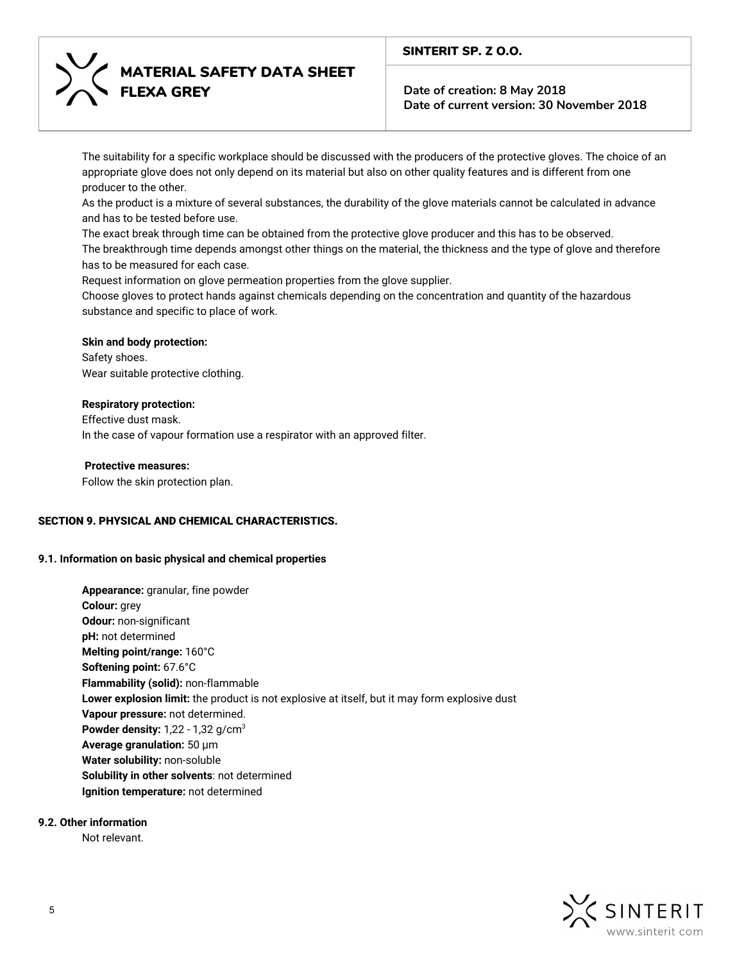# MATERIAL SAFETY DATA SHEET FLEXA GREY

# SINTERIT SP. Z O.O.

**Date of creation: 8 May 2018 Date of current version: 30 November 2018**

The suitability for a specific workplace should be discussed with the producers of the protective gloves. The choice of an appropriate glove does not only depend on its material but also on other quality features and is different from one producer to the other.

As the product is a mixture of several substances, the durability of the glove materials cannot be calculated in advance and has to be tested before use.

The exact break through time can be obtained from the protective glove producer and this has to be observed.

The breakthrough time depends amongst other things on the material, the thickness and the type of glove and therefore has to be measured for each case.

Request information on glove permeation properties from the glove supplier.

Choose gloves to protect hands against chemicals depending on the concentration and quantity of the hazardous substance and specific to place of work.

# **Skin and body protection:**

Safety shoes. Wear suitable protective clothing.

# **Respiratory protection:**

Effective dust mask. In the case of vapour formation use a respirator with an approved filter.

# **Protective measures:**

Follow the skin protection plan.

# SECTION 9. PHYSICAL AND CHEMICAL CHARACTERISTICS.

# **9.1. Information on basic physical and chemical properties**

**Appearance:** granular, fine powder **Colour:** grey **Odour:** non-significant **pH:** not determined **Melting point/range:** 160°C **Softening point:** 67.6°C **Flammability (solid):** non-flammable **Lower explosion limit:** the product is not explosive at itself, but it may form explosive dust **Vapour pressure:** not determined. **Powder density:** 1,22 - 1,32 g/cm<sup>3</sup> **Average granulation:** 50 μm **Water solubility:** non-soluble **Solubility in other solvents**: not determined **Ignition temperature:** not determined

# **9.2. Other information**

Not relevant.

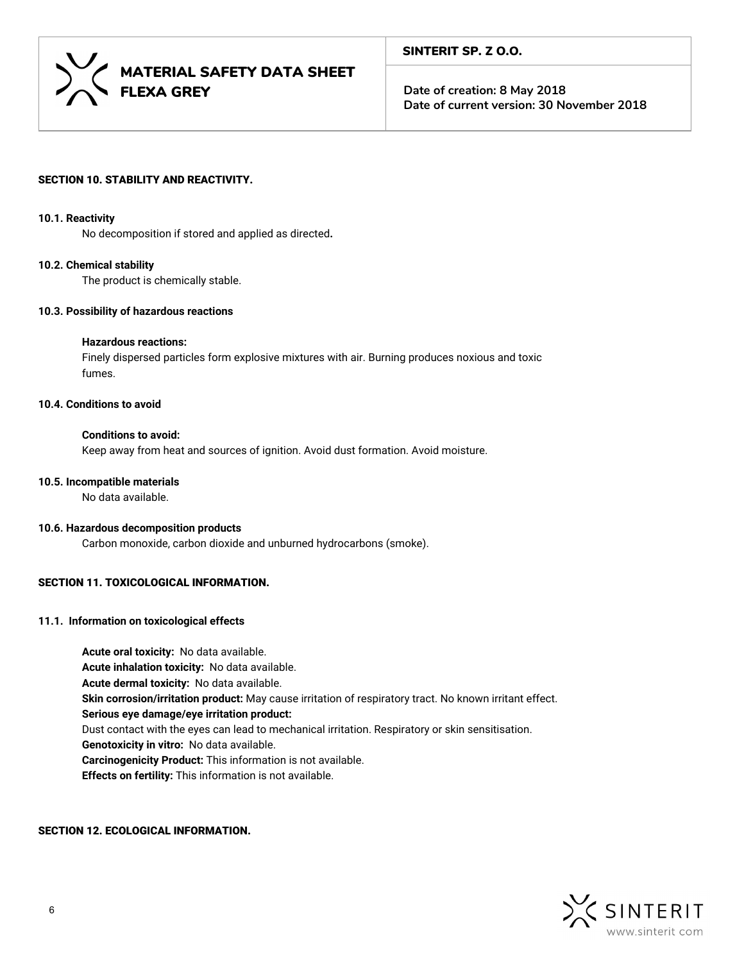

# SECTION 10. STABILITY AND REACTIVITY.

#### **10.1. Reactivity**

No decomposition if stored and applied as directed**.**

#### **10.2. Chemical stability**

The product is chemically stable.

#### **10.3. Possibility of hazardous reactions**

#### **Hazardous reactions:**

Finely dispersed particles form explosive mixtures with air. Burning produces noxious and toxic fumes.

# **10.4. Conditions to avoid**

#### **Conditions to avoid:**

Keep away from heat and sources of ignition. Avoid dust formation. Avoid moisture.

## **10.5. Incompatible materials**

No data available.

#### **10.6. Hazardous decomposition products**

Carbon monoxide, carbon dioxide and unburned hydrocarbons (smoke).

# SECTION 11. TOXICOLOGICAL INFORMATION.

# **11.1. Information on toxicological effects**

**Acute oral toxicity:** No data available. **Acute inhalation toxicity:** No data available. **Acute dermal toxicity:** No data available. **Skin corrosion/irritation product:** May cause irritation of respiratory tract. No known irritant effect. **Serious eye damage/eye irritation product:** Dust contact with the eyes can lead to mechanical irritation. Respiratory or skin sensitisation. **Genotoxicity in vitro:** No data available. **Carcinogenicity Product:** This information is not available. **Effects on fertility:** This information is not available.

#### SECTION 12. ECOLOGICAL INFORMATION.

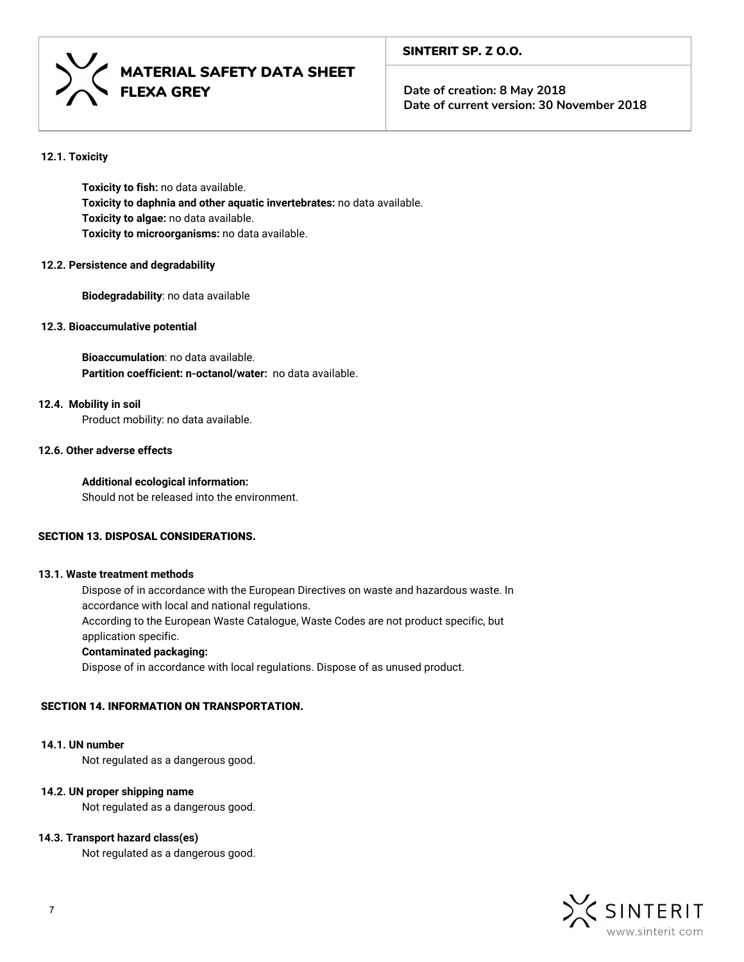

# MATERIAL SAFETY DATA SHEET FLEXA GREY

**Date of creation: 8 May 2018 Date of current version: 30 November 2018**

# **12.1. Toxicity**

**Toxicity to fish:** no data available. **Toxicity to daphnia and other aquatic invertebrates:** no data available. **Toxicity to algae:** no data available. **Toxicity to microorganisms:** no data available.

#### **12.2. Persistence and degradability**

**Biodegradability**: no data available

# **12.3. Bioaccumulative potential**

**Bioaccumulation**: no data available. **Partition coefficient: n-octanol/water:** no data available.

# **12.4. Mobility in soil**

Product mobility: no data available.

# **12.6. Other adverse effects**

# **Additional ecological information:**

Should not be released into the environment.

# SECTION 13. DISPOSAL CONSIDERATIONS.

# **13.1. Waste treatment methods**

Dispose of in accordance with the European Directives on waste and hazardous waste. In accordance with local and national regulations. According to the European Waste Catalogue, Waste Codes are not product specific, but application specific.

#### **Contaminated packaging:**

Dispose of in accordance with local regulations. Dispose of as unused product.

# SECTION 14. INFORMATION ON TRANSPORTATION.

#### **14.1. UN number**

Not regulated as a dangerous good.

#### **14.2. UN proper shipping name**

Not regulated as a dangerous good.

#### **14.3. Transport hazard class(es)**

Not regulated as a dangerous good.

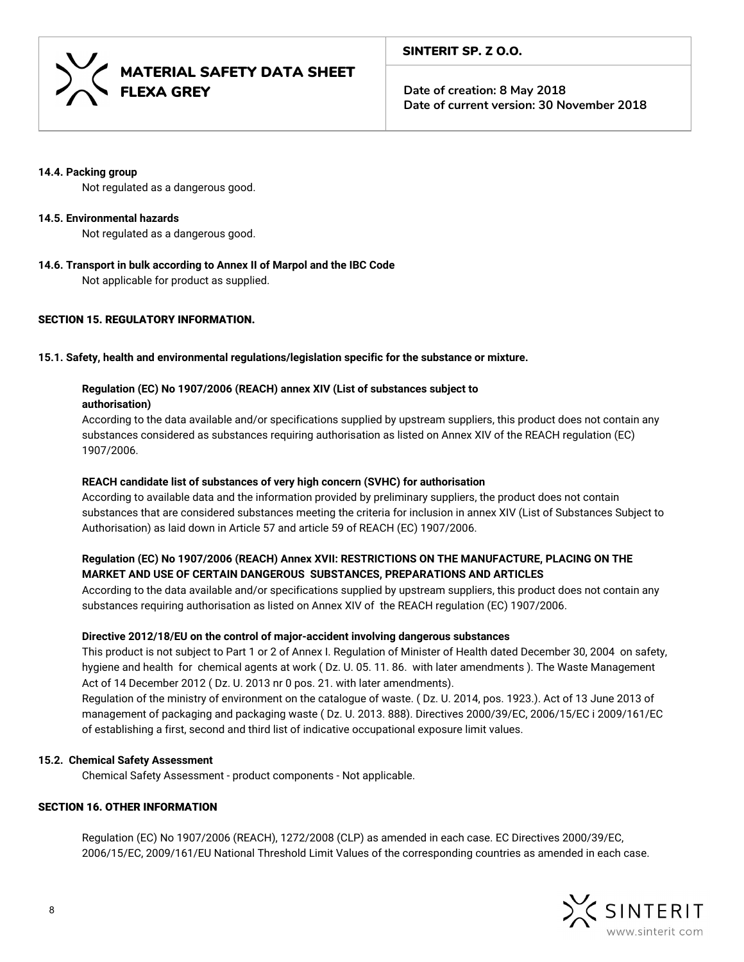

## **14.4. Packing group**

Not regulated as a dangerous good.

# **14.5. Environmental hazards**

Not regulated as a dangerous good.

**14.6. Transport in bulk according to Annex II of Marpol and the IBC Code**

Not applicable for product as supplied.

# SECTION 15. REGULATORY INFORMATION.

# **15.1. Safety, health and environmental regulations/legislation specific for the substance or mixture.**

# **Regulation (EC) No 1907/2006 (REACH) annex XIV (List of substances subject to**

**authorisation)**

According to the data available and/or specifications supplied by upstream suppliers, this product does not contain any substances considered as substances requiring authorisation as listed on Annex XIV of the REACH regulation (EC) 1907/2006.

# **REACH candidate list of substances of very high concern (SVHC) for authorisation**

According to available data and the information provided by preliminary suppliers, the product does not contain substances that are considered substances meeting the criteria for inclusion in annex XIV (List of Substances Subject to Authorisation) as laid down in Article 57 and article 59 of REACH (EC) 1907/2006.

# **Regulation (EC) No 1907/2006 (REACH) Annex XVII: RESTRICTIONS ON THE MANUFACTURE, PLACING ON THE MARKET AND USE OF CERTAIN DANGEROUS SUBSTANCES, PREPARATIONS AND ARTICLES**

According to the data available and/or specifications supplied by upstream suppliers, this product does not contain any substances requiring authorisation as listed on Annex XIV of the REACH regulation (EC) 1907/2006.

# **Directive 2012/18/EU on the control of major-accident involving dangerous substances**

This product is not subject to Part 1 or 2 of Annex I.Regulation of Minister of Health dated December 30, 2004 on safety, hygiene and health for chemical agents at work ( Dz. U. 05. 11. 86. with later amendments ). The Waste Management Act of 14 December 2012 ( Dz. U. 2013 nr 0 pos. 21. with later amendments).

Regulation of the ministry of environment on the catalogue of waste. ( Dz. U. 2014, pos. 1923.). Act of 13 June 2013 of management of packaging and packaging waste ( Dz. U. 2013. 888). Directives 2000/39/EC, 2006/15/EC i 2009/161/EC of establishing a first, second and third list of indicative occupational exposure limit values.

# **15.2. Chemical Safety Assessment**

Chemical Safety Assessment - product components - Not applicable.

# SECTION 16. OTHER INFORMATION

Regulation (EC) No 1907/2006 (REACH), 1272/2008 (CLP) as amended in each case. EC Directives 2000/39/EC, 2006/15/EC, 2009/161/EU National Threshold Limit Values of the corresponding countries as amended in each case.